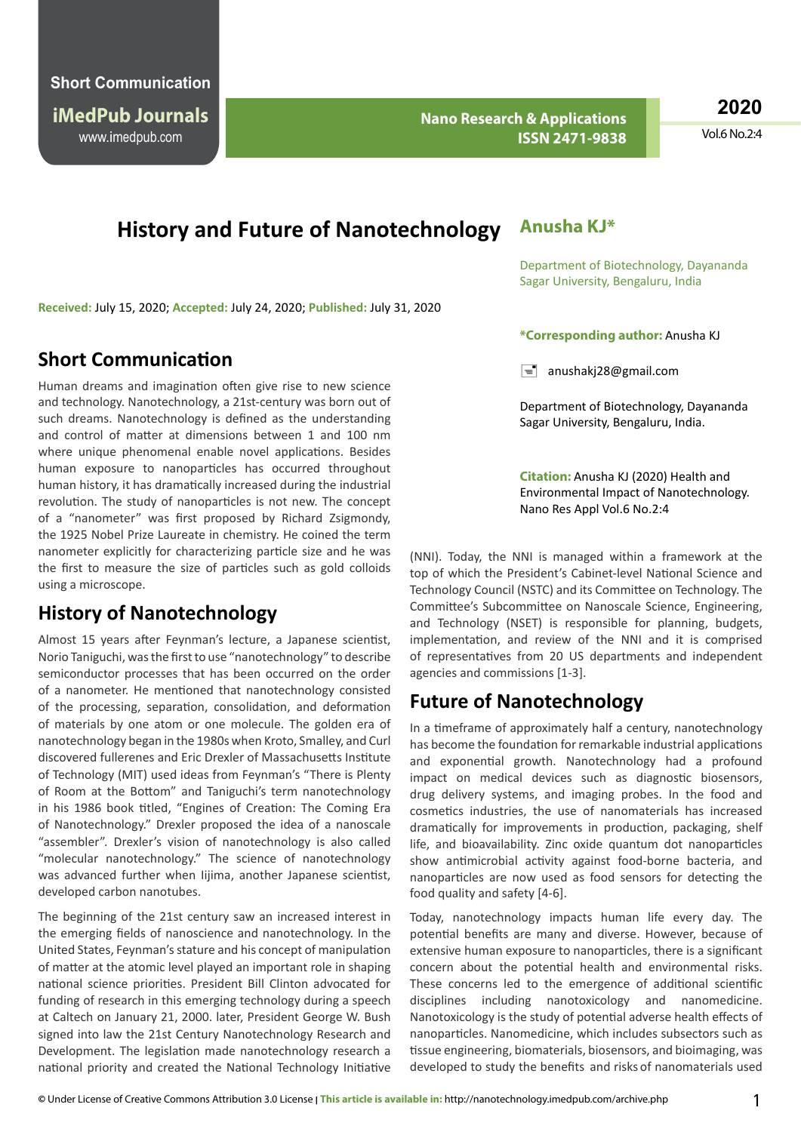www.imedpub.com **iMedPub Journals**

 **Nano Research & Applications ISSN 2471-9838**

**2020**

Vol.6 No.2:4

# **History and Future of Nanotechnology**

**Received:** July 15, 2020; **Accepted:** July 24, 2020; **Published:** July 31, 2020

### **Short Communication**

Human dreams and imagination often give rise to new science and technology. Nanotechnology, a 21st-century was born out of such dreams. Nanotechnology is defined as the understanding and control of matter at dimensions between 1 and 100 nm where unique phenomenal enable novel applications. Besides human exposure to nanoparticles has occurred throughout human history, it has dramatically increased during the industrial revolution. The study of nanoparticles is not new. The concept of a "nanometer" was first proposed by Richard Zsigmondy, the 1925 Nobel Prize Laureate in chemistry. He coined the term nanometer explicitly for characterizing particle size and he was the first to measure the size of particles such as gold colloids using a microscope.

## **History of Nanotechnology**

Almost 15 years after Feynman's lecture, a Japanese scientist, Norio Taniguchi, was the first to use "nanotechnology" to describe semiconductor processes that has been occurred on the order of a nanometer. He mentioned that nanotechnology consisted of the processing, separation, consolidation, and deformation of materials by one atom or one molecule. The golden era of nanotechnology began in the 1980s when Kroto, Smalley, and Curl discovered fullerenes and Eric Drexler of Massachusetts Institute of Technology (MIT) used ideas from Feynman's "There is Plenty of Room at the Bottom" and Taniguchi's term nanotechnology in his 1986 book titled, "Engines of Creation: The Coming Era of Nanotechnology." Drexler proposed the idea of a nanoscale "assembler". Drexler's vision of nanotechnology is also called "molecular nanotechnology." The science of nanotechnology was advanced further when Iijima, another Japanese scientist, developed carbon nanotubes.

The beginning of the 21st century saw an increased interest in the emerging fields of nanoscience and nanotechnology. In the United States, Feynman's stature and his concept of manipulation of matter at the atomic level played an important role in shaping national science priorities. President Bill Clinton advocated for funding of research in this emerging technology during a speech at Caltech on January 21, 2000. later, President George W. Bush signed into law the 21st Century Nanotechnology Research and Development. The legislation made nanotechnology research a national priority and created the National Technology Initiative

#### **Anusha KJ\***

Department of Biotechnology, Dayananda Sagar University, Bengaluru, India

#### **\*Corresponding author:** Anusha KJ

 $\equiv$  anushakj28@gmail.com

Department of Biotechnology, Dayananda Sagar University, Bengaluru, India.

**Citation:** Anusha KJ (2020) Health and Environmental Impact of Nanotechnology. Nano Res Appl Vol.6 No.2:4

(NNI). Today, the NNI is managed within a framework at the top of which the President's Cabinet-level National Science and Technology Council (NSTC) and its Committee on Technology. The Committee's Subcommittee on Nanoscale Science, Engineering, and Technology (NSET) is responsible for planning, budgets, implementation, and review of the NNI and it is comprised of representatives from 20 US departments and independent agencies and commissions [1-3].

## **Future of Nanotechnology**

In a timeframe of approximately half a century, nanotechnology has become the foundation for remarkable industrial applications and exponential growth. Nanotechnology had a profound impact on medical devices such as diagnostic biosensors, drug delivery systems, and imaging probes. In the food and cosmetics industries, the use of nanomaterials has increased dramatically for improvements in production, packaging, shelf life, and bioavailability. Zinc oxide quantum dot nanoparticles show antimicrobial activity against food-borne bacteria, and nanoparticles are now used as food sensors for detecting the food quality and safety [4-6].

Today, nanotechnology impacts human life every day. The potential benefits are many and diverse. However, because of extensive human exposure to nanoparticles, there is a significant concern about the potential health and environmental risks. These concerns led to the emergence of additional scientific disciplines including nanotoxicology and nanomedicine. Nanotoxicology is the study of potential adverse health effects of nanoparticles. Nanomedicine, which includes subsectors such as tissue engineering, biomaterials, biosensors, and bioimaging, was developed to study the benefits and risks of nanomaterials used